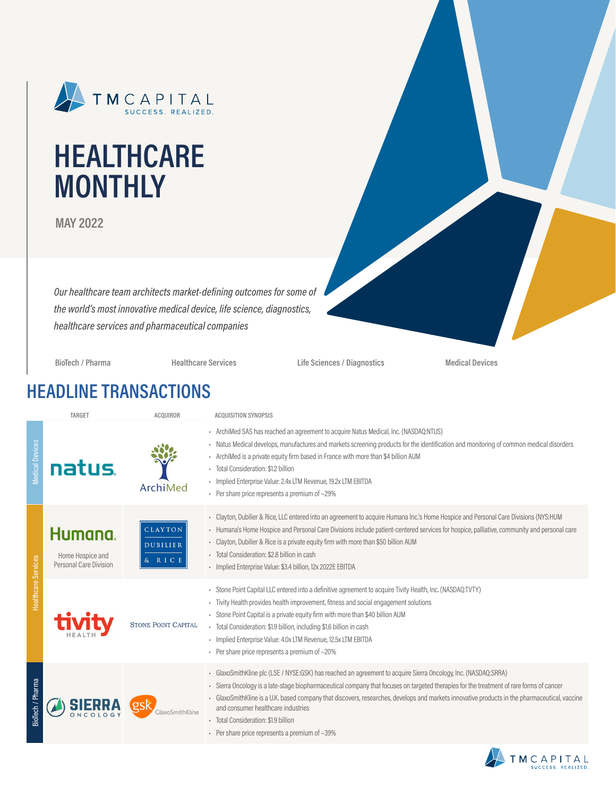

# **HEALTHCARE MONTHLY**

**MAY 2022**

*Our healthcare team architects market-defining outcomes for some of the world's most innovative medical device, life science, diagnostics, healthcare services and pharmaceutical companies*

**BioTech / Pharma Healthcare Services Life Sciences / Diagnostics Medical Devices**

### **HEADLINE TRANSACTIONS**

|                        | <b>TARGET</b>                                         | <b>ACQUIROR</b>                      | <b>ACQUISITION SYNOPSIS</b>                                                                                                                                                                                                                                                                                                                                                                                                                                                                                                                   |
|------------------------|-------------------------------------------------------|--------------------------------------|-----------------------------------------------------------------------------------------------------------------------------------------------------------------------------------------------------------------------------------------------------------------------------------------------------------------------------------------------------------------------------------------------------------------------------------------------------------------------------------------------------------------------------------------------|
| <b>Medical Devices</b> | natus.                                                | ArchiMed                             | - ArchiMed SAS has reached an agreement to acquire Natus Medical, Inc. (NASDAQ:NTUS)<br>- Natus Medical develops, manufactures and markets screening products for the identification and monitoring of common medical disorders<br>- ArchiMed is a private equity firm based in France with more than \$4 billion AUM<br>- Total Consideration: \$1.2 billion<br>- Implied Enterprise Value: 2.4x LTM Revenue, 19.2x LTM EBITDA<br>- Per share price represents a premium of $\sim$ 29%                                                       |
|                        | Humana.<br>Home Hospice and<br>Personal Care Division | CLAYTON<br><b>DUBILIER</b><br>& RICE | - Clayton, Dubilier & Rice, LLC entered into an agreement to acquire Humana Inc.'s Home Hospice and Personal Care Divisions (NYS:HUM<br>- Humana's Home Hospice and Personal Care Divisions include patient-centered services for hospice, palliative, community and personal care<br>- Clayton, Dubilier & Rice is a private equity firm with more than \$50 billion AUM<br>- Total Consideration: \$2.8 billion in cash<br>· Implied Enterprise Value: \$3.4 billion, 12x 2022E EBITDA                                                      |
| Healthcare Services    |                                                       | <b>STONE POINT CAPITAL</b>           | - Stone Point Capital LLC entered into a definitive agreement to acquire Tivity Health, Inc. (NASDAQ:TVTY)<br>- Tivity Health provides health improvement, fitness and social engagement solutions<br>- Stone Point Capital is a private equity firm with more than \$40 billion AUM<br>- Total Consideration: \$1.9 billion, including \$1.6 billion in cash<br>- Implied Enterprise Value: 4.0x LTM Revenue, 12.5x LTM EBITDA<br>- Per share price represents a premium of $\sim$ 20%                                                       |
| BioTech / Pharma       |                                                       | GlaxoSmithKline                      | GlaxoSmithKline plc (LSE / NYSE:GSK) has reached an agreement to acquire Sierra Oncology, Inc. (NASDAQ:SRRA)<br>- Sierra Oncology is a late-stage biopharmaceutical company that focuses on targeted therapies for the treatment of rare forms of cancer<br>GlaxoSmithKline is a U.K. based company that discovers, researches, develops and markets innovative products in the pharmaceutical, vaccine<br>and consumer healthcare industries<br>· Total Consideration: \$1.9 billion<br>• Per share price represents a premium of $\sim$ 39% |

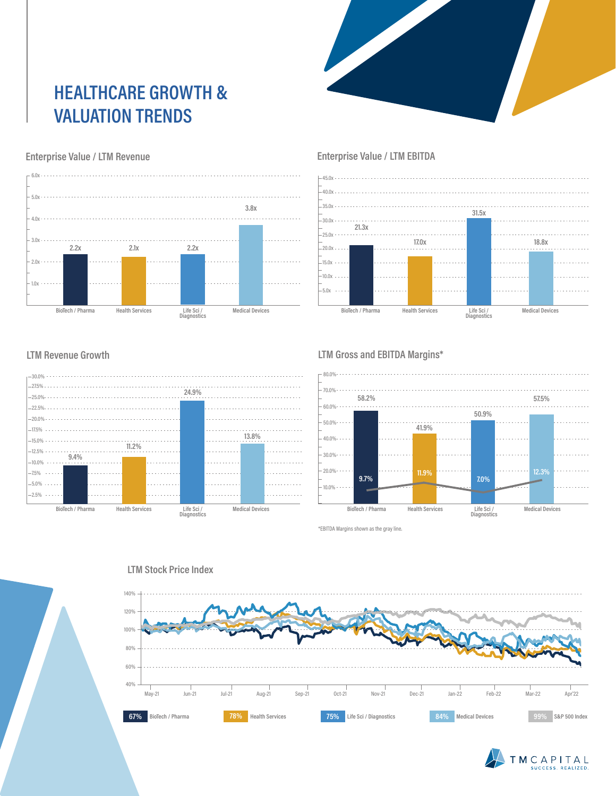# **HEALTHCARE GROWTH & VALUATION TRENDS**



#### **Enterprise Value / LTM Revenue**



#### **Enterprise Value / LTM EBITDA**



#### **LTM Revenue Growth**



#### **LTM Gross and EBITDA Margins\***



\*EBITDA Margins shown as the gray line.



### TMCAPITAL

#### **LTM Stock Price Index**